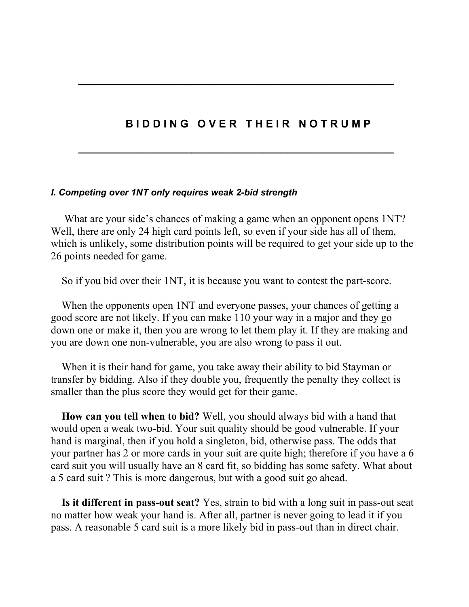### **BIDDING OVER THEIR NOTRUMP**

**\_\_\_\_\_\_\_\_\_\_\_\_\_\_\_\_\_\_\_\_\_\_\_\_\_\_\_\_\_\_\_\_\_\_\_\_\_\_\_\_\_\_\_\_\_\_\_\_\_\_\_\_\_**

**\_\_\_\_\_\_\_\_\_\_\_\_\_\_\_\_\_\_\_\_\_\_\_\_\_\_\_\_\_\_\_\_\_\_\_\_\_\_\_\_\_\_\_\_\_\_\_\_\_\_\_\_\_**

#### *I. Competing over 1NT only requires weak 2-bid strength*

What are your side's chances of making a game when an opponent opens 1NT? Well, there are only 24 high card points left, so even if your side has all of them, which is unlikely, some distribution points will be required to get your side up to the 26 points needed for game.

So if you bid over their 1NT, it is because you want to contest the part-score.

 When the opponents open 1NT and everyone passes, your chances of getting a good score are not likely. If you can make 110 your way in a major and they go down one or make it, then you are wrong to let them play it. If they are making and you are down one non-vulnerable, you are also wrong to pass it out.

 When it is their hand for game, you take away their ability to bid Stayman or transfer by bidding. Also if they double you, frequently the penalty they collect is smaller than the plus score they would get for their game.

 **How can you tell when to bid?** Well, you should always bid with a hand that would open a weak two-bid. Your suit quality should be good vulnerable. If your hand is marginal, then if you hold a singleton, bid, otherwise pass. The odds that your partner has 2 or more cards in your suit are quite high; therefore if you have a 6 card suit you will usually have an 8 card fit, so bidding has some safety. What about a 5 card suit ? This is more dangerous, but with a good suit go ahead.

 **Is it different in pass-out seat?** Yes, strain to bid with a long suit in pass-out seat no matter how weak your hand is. After all, partner is never going to lead it if you pass. A reasonable 5 card suit is a more likely bid in pass-out than in direct chair.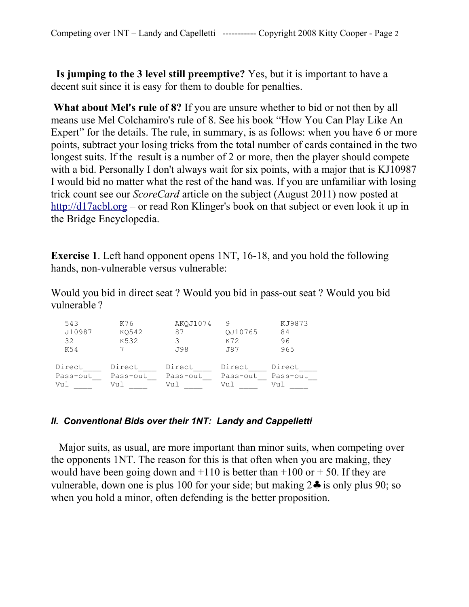**Is jumping to the 3 level still preemptive?** Yes, but it is important to have a decent suit since it is easy for them to double for penalties.

**What about Mel's rule of 8?** If you are unsure whether to bid or not then by all means use Mel Colchamiro's rule of 8. See his book "How You Can Play Like An Expert" for the details. The rule, in summary, is as follows: when you have 6 or more points, subtract your losing tricks from the total number of cards contained in the two longest suits. If the result is a number of 2 or more, then the player should compete with a bid. Personally I don't always wait for six points, with a major that is KJ10987 I would bid no matter what the rest of the hand was. If you are unfamiliar with losing trick count see our *ScoreCard* article on the subject (August 2011) now posted at [http://d17acbl.org](http://d17acbl.org/) – or read Ron Klinger's book on that subject or even look it up in the Bridge Encyclopedia.

**Exercise 1**. Left hand opponent opens 1NT, 16-18, and you hold the following hands, non-vulnerable versus vulnerable:

Would you bid in direct seat ? Would you bid in pass-out seat ? Would you bid vulnerable ?

| 543<br>J10987<br>32<br>K54 | K76<br>K0542<br>K532 | AKOJ1074<br>87<br>J98 | OJ10765<br>K72<br>J87 | KJ9873<br>84<br>96<br>965 |
|----------------------------|----------------------|-----------------------|-----------------------|---------------------------|
| Direct                     | Direct               | Direct                | Direct                | Direct                    |
| Pass-out                   | Pass-out             | Pass-out              | Pass-out              | Pass-out                  |
| Vul                        | Vul                  | Vul                   | Vul                   | Vul                       |

#### *II. Conventional Bids over their 1NT: Landy and Cappelletti*

 Major suits, as usual, are more important than minor suits, when competing over the opponents 1NT. The reason for this is that often when you are making, they would have been going down and  $+110$  is better than  $+100$  or  $+50$ . If they are vulnerable, down one is plus 100 for your side; but making 2♣ is only plus 90; so when you hold a minor, often defending is the better proposition.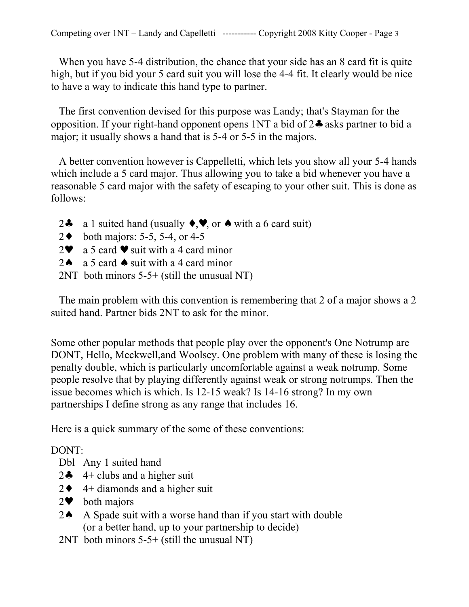When you have 5-4 distribution, the chance that your side has an 8 card fit is quite high, but if you bid your 5 card suit you will lose the 4-4 fit. It clearly would be nice to have a way to indicate this hand type to partner.

 The first convention devised for this purpose was Landy; that's Stayman for the opposition. If your right-hand opponent opens 1NT a bid of 2♣ asks partner to bid a major; it usually shows a hand that is 5-4 or 5-5 in the majors.

 A better convention however is Cappelletti, which lets you show all your 5-4 hands which include a 5 card major. Thus allowing you to take a bid whenever you have a reasonable 5 card major with the safety of escaping to your other suit. This is done as follows:

- 2 $\clubsuit$  a 1 suited hand (usually  $\leftrightarrow$ ,  $\bullet$ , or  $\spadesuit$  with a 6 card suit)
- 2♦ both majors: 5-5, 5-4, or 4-5
- $2\bullet$  a 5 card  $\bullet$  suit with a 4 card minor
- 2 $\uparrow$  a 5 card  $\uparrow$  suit with a 4 card minor
- 2NT both minors 5-5+ (still the unusual NT)

 The main problem with this convention is remembering that 2 of a major shows a 2 suited hand. Partner bids 2NT to ask for the minor.

Some other popular methods that people play over the opponent's One Notrump are DONT, Hello, Meckwell,and Woolsey. One problem with many of these is losing the penalty double, which is particularly uncomfortable against a weak notrump. Some people resolve that by playing differently against weak or strong notrumps. Then the issue becomes which is which. Is 12-15 weak? Is 14-16 strong? In my own partnerships I define strong as any range that includes 16.

Here is a quick summary of the some of these conventions:

# DONT:

- Dbl Any 1 suited hand
- 2 $\div$  4+ clubs and a higher suit
- $2 \cdot 4 +$  diamonds and a higher suit
- $2\bullet$  both majors
- 2♠ A Spade suit with a worse hand than if you start with double (or a better hand, up to your partnership to decide)
- 2NT both minors 5-5+ (still the unusual NT)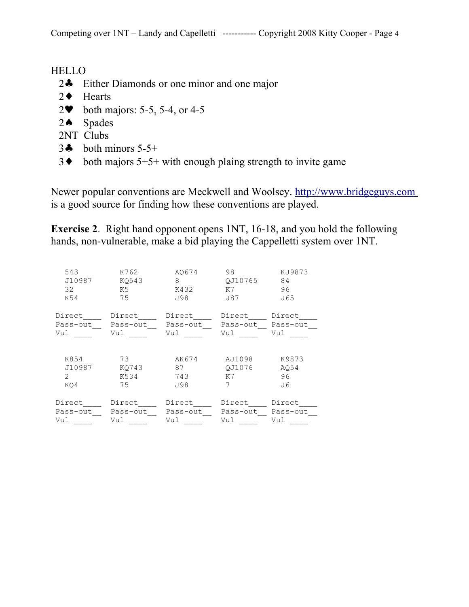## HELLO

- 2♣ Either Diamonds or one minor and one major
- 2♦ Hearts
- 2♥ both majors: 5-5, 5-4, or 4-5
- 2♠ Spades
- 2NT Clubs
- $3\clubsuit$  both minors  $5-5+$
- $3\bullet$  both majors  $5+5+$  with enough plaing strength to invite game

Newer popular conventions are Meckwell and Woolsey. [http://www.bridgeguys.com](http://www.bridgeguys.com/) is a good source for finding how these conventions are played.

**Exercise 2**. Right hand opponent opens 1NT, 16-18, and you hold the following hands, non-vulnerable, make a bid playing the Cappelletti system over 1NT.

| 543<br>J10987<br>32<br>K54 | K762<br>KO543<br>K5<br>75 | A0674<br>8<br>K432<br>J98 | 98<br>OJ10765<br>K7<br>J87 | KJ9873<br>84<br>96<br>J65 |
|----------------------------|---------------------------|---------------------------|----------------------------|---------------------------|
| Direct                     | Direct                    | Direct                    | Direct                     | Direct                    |
| Pass-out                   | Pass-out                  | Pass-out                  | Pass-out                   | Pass-out                  |
| Vul                        | Vul                       | Vul                       | Vul                        | Vul                       |
| K854                       | 73                        | AK674                     | AJ1098                     | K9873                     |
| J10987                     | KO743                     | 87                        | OJ1076                     | A054                      |
| $\mathcal{L}$              | K534                      | 743                       | K7                         | 96                        |
| KO4                        | 75                        | J98                       | 7                          | J6                        |
| Direct                     | Direct                    | Direct                    | Direct                     | Direct                    |
| Pass-out                   | Pass-out                  | Pass-out                  | Pass-out                   | Pass-out                  |
| Vul                        | Vul                       | Vul                       | Vul                        | Vul                       |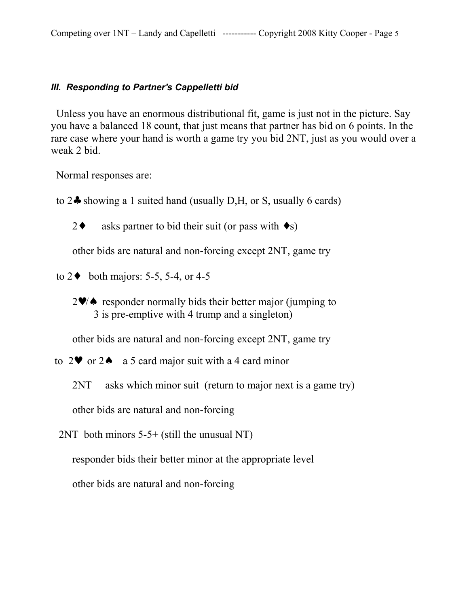#### *III. Responding to Partner's Cappelletti bid*

 Unless you have an enormous distributional fit, game is just not in the picture. Say you have a balanced 18 count, that just means that partner has bid on 6 points. In the rare case where your hand is worth a game try you bid 2NT, just as you would over a weak 2 bid.

Normal responses are:

to 2♣ showing a 1 suited hand (usually D,H, or S, usually 6 cards)

2 $\bullet$  asks partner to bid their suit (or pass with  $\bullet$ s)

other bids are natural and non-forcing except 2NT, game try

- to  $2\bullet$  both majors: 5-5, 5-4, or 4-5
	- 2♥/♠ responder normally bids their better major (jumping to 3 is pre-emptive with 4 trump and a singleton)

other bids are natural and non-forcing except 2NT, game try

- to  $2\bullet$  or  $2\bullet$  a 5 card major suit with a 4 card minor
	- 2NT asks which minor suit (return to major next is a game try)

other bids are natural and non-forcing

2NT both minors 5-5+ (still the unusual NT)

responder bids their better minor at the appropriate level

other bids are natural and non-forcing